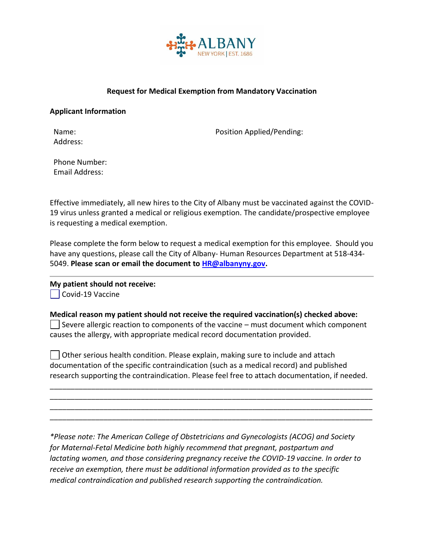

## **Request for Medical Exemption from Mandatory Vaccination**

## **Applicant Information**

Address:

Name: Position Applied/Pending:

Phone Number: Email Address:

Effective immediately, all new hires to the City of Albany must be vaccinated against the COVID-19 virus unless granted a medical or religious exemption. The candidate/prospective employee is requesting a medical exemption.

Please complete the form below to request a medical exemption for this employee. Should you have any questions, please call the City of Albany- Human Resources Department at 518-434- 5049. **Please scan or email the document t[o HR@albanyny.gov.](mailto:HR@albanyny.gov)** 

## **My patient should not receive:**

 $\vert$   $\vert$  Covid-19 Vaccine

## **Medical reason my patient should not receive the required vaccination(s) checked above:**

 $\vert \ \vert$  Severe allergic reaction to components of the vaccine – must document which component causes the allergy, with appropriate medical record documentation provided.

 $\vert \ \vert$  Other serious health condition. Please explain, making sure to include and attach documentation of the specific contraindication (such as a medical record) and published research supporting the contraindication. Please feel free to attach documentation, if needed.

\_\_\_\_\_\_\_\_\_\_\_\_\_\_\_\_\_\_\_\_\_\_\_\_\_\_\_\_\_\_\_\_\_\_\_\_\_\_\_\_\_\_\_\_\_\_\_\_\_\_\_\_\_\_\_\_\_\_\_\_\_\_\_\_\_\_\_\_\_\_\_\_\_\_\_\_\_\_ \_\_\_\_\_\_\_\_\_\_\_\_\_\_\_\_\_\_\_\_\_\_\_\_\_\_\_\_\_\_\_\_\_\_\_\_\_\_\_\_\_\_\_\_\_\_\_\_\_\_\_\_\_\_\_\_\_\_\_\_\_\_\_\_\_\_\_\_\_\_\_\_\_\_\_\_\_\_ \_\_\_\_\_\_\_\_\_\_\_\_\_\_\_\_\_\_\_\_\_\_\_\_\_\_\_\_\_\_\_\_\_\_\_\_\_\_\_\_\_\_\_\_\_\_\_\_\_\_\_\_\_\_\_\_\_\_\_\_\_\_\_\_\_\_\_\_\_\_\_\_\_\_\_\_\_\_ \_\_\_\_\_\_\_\_\_\_\_\_\_\_\_\_\_\_\_\_\_\_\_\_\_\_\_\_\_\_\_\_\_\_\_\_\_\_\_\_\_\_\_\_\_\_\_\_\_\_\_\_\_\_\_\_\_\_\_\_\_\_\_\_\_\_\_\_\_\_\_\_\_\_\_\_\_\_

*\*Please note: The American College of Obstetricians and Gynecologists (ACOG) and Society for Maternal-Fetal Medicine both highly recommend that pregnant, postpartum and lactating women, and those considering pregnancy receive the COVID-19 vaccine. In order to receive an exemption, there must be additional information provided as to the specific medical contraindication and published research supporting the contraindication.*